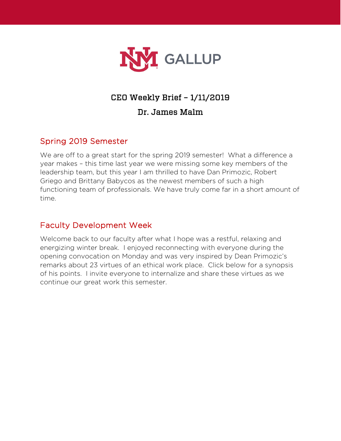

### CEO Weekly Brief – 1/11/2019

#### Dr. James Malm

#### Spring 2019 Semester

We are off to a great start for the spring 2019 semester! What a difference a year makes – this time last year we were missing some key members of the leadership team, but this year I am thrilled to have Dan Primozic, Robert Griego and Brittany Babycos as the newest members of such a high functioning team of professionals. We have truly come far in a short amount of time.

#### Faculty Development Week

Welcome back to our faculty after what I hope was a restful, relaxing and energizing winter break. I enjoyed reconnecting with everyone during the opening convocation on Monday and was very inspired by Dean Primozic's remarks about 23 virtues of an ethical work place. Click below for a synopsis of his points. I invite everyone to internalize and share these virtues as we continue our great work this semester.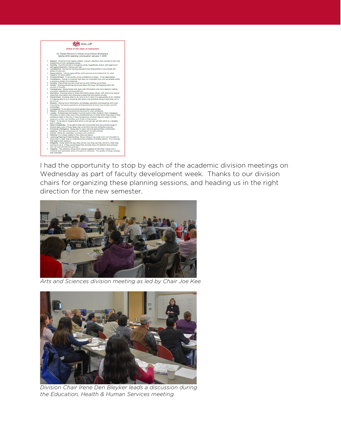

I had the opportunity to stop by each of the academic division meetings on Wednesday as part of faculty development week. Thanks to our division chairs for organizing these planning sessions, and heading us in the right direction for the new semester.



*Arts and Sciences division meeting as led by Chair Joe Kee*



*Division Chair Irene Den Bleyker leads a discussion during the Education, Health & Human Services meeting.*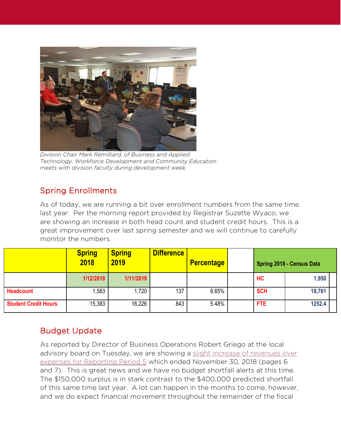

*Division Chair Mark Remilliard, of Business and Applied Technology, Workforce Development and Community Education meets with division faculty during development week.*

# Spring Enrollments

As of today, we are running a bit over enrollment numbers from the same time last year. Per the morning report provided by Registrar Suzette Wyaco, we are showing an increase in both head count and student credit hours. This is a great improvement over last spring semester and we will continue to carefully monitor the numbers.

|                             | <b>Spring</b><br>2018 | <b>Spring</b><br>2019 | <b>Difference</b> | <b>Percentage</b> | <b>Spring 2018 - Census Data</b> |        |
|-----------------------------|-----------------------|-----------------------|-------------------|-------------------|----------------------------------|--------|
|                             | 1/12/2018             | 1/11/2019             |                   |                   | HC                               | 1,950  |
| <b>Headcount</b>            | ,583                  | 1,720                 | 137               | 8.65%             | <b>SCH</b>                       | 18,761 |
| <b>Student Credit Hours</b> | 15,383                | 16,226                | 843               | 5.48%             | <b>FTE</b>                       | 1252.4 |

### Budget Update

As reported by Director of Business Operations Robert Griego at the local advisory board on Tuesday, we are showing a [slight increase of revenues over](https://gallup.unm.edu/pdfs/20190108BoardPacket.pdf)  [expenses for Reporting Period 5](https://gallup.unm.edu/pdfs/20190108BoardPacket.pdf) which ended November 30, 2018 (pages 6 and 7). This is great news and we have no budget shortfall alerts at this time. The \$150,000 surplus is in stark contrast to the \$400,000 predicted shortfall of this same time last year. A lot can happen in the months to come, however, and we do expect financial movement throughout the remainder of the fiscal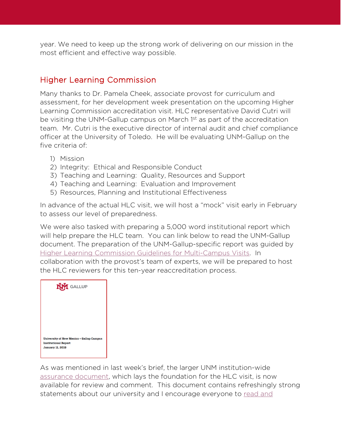year. We need to keep up the strong work of delivering on our mission in the most efficient and effective way possible.

### Higher Learning Commission

Many thanks to Dr. Pamela Cheek, associate provost for curriculum and assessment, for her development week presentation on the upcoming Higher Learning Commission accreditation visit. HLC representative David Cutri will be visiting the UNM-Gallup campus on March 1<sup>st</sup> as part of the accreditation team. Mr. Cutri is the executive director of internal audit and chief compliance officer at the University of Toledo. He will be evaluating UNM-Gallup on the five criteria of:

- 1) Mission
- 2) Integrity: Ethical and Responsible Conduct
- 3) Teaching and Learning: Quality, Resources and Support
- 4) Teaching and Learning: Evaluation and Improvement
- 5) Resources, Planning and Institutional Effectiveness

In advance of the actual HLC visit, we will host a "mock" visit early in February to assess our level of preparedness.

We were also tasked with preparing a 5,000 word institutional report which will help prepare the HLC team. You can link below to read the UNM-Gallup document. The preparation of the UNM-Gallup-specific report was guided by [Higher Learning Commission Guidelines for Multi-Campus Visits.](http://download.hlcommission.org/Multi-campusVisit_PRC.pdf) In collaboration with the provost's team of experts, we will be prepared to host the HLC reviewers for this ten-year reaccreditation process.



As was mentioned in last week's brief, the larger UNM institution-wide [assurance document,](http://hlc2019.unm.edu/assurance-argument.html) which lays the foundation for the HLC visit, is now available for review and comment. This document contains refreshingly strong statements about our university and I encourage everyone to read and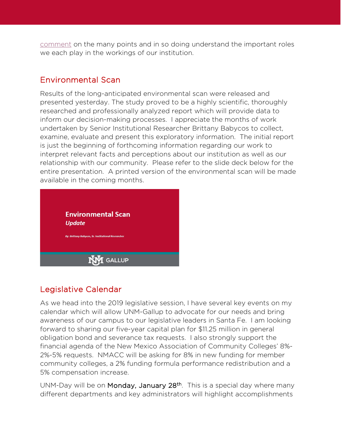[comment](http://hlc2019.unm.edu/assurance-argument.html) on the many points and in so doing understand the important roles we each play in the workings of our institution.

#### Environmental Scan

Results of the long-anticipated environmental scan were released and presented yesterday. The study proved to be a highly scientific, thoroughly researched and professionally analyzed report which will provide data to inform our decision-making processes. I appreciate the months of work undertaken by Senior Institutional Researcher Brittany Babycos to collect, examine, evaluate and present this exploratory information. The initial report is just the beginning of forthcoming information regarding our work to interpret relevant facts and perceptions about our institution as well as our relationship with our community. Please refer to the slide deck below for the entire presentation. A printed version of the environmental scan will be made available in the coming months.



### Legislative Calendar

As we head into the 2019 legislative session, I have several key events on my calendar which will allow UNM-Gallup to advocate for our needs and bring awareness of our campus to our legislative leaders in Santa Fe. I am looking forward to sharing our five-year capital plan for \$11.25 million in general obligation bond and severance tax requests. I also strongly support the financial agenda of the New Mexico Association of Community Colleges' 8%- 2%-5% requests. NMACC will be asking for 8% in new funding for member community colleges, a 2% funding formula performance redistribution and a 5% compensation increase.

UNM-Day will be on Monday, January 28<sup>th</sup>. This is a special day where many different departments and key administrators will highlight accomplishments